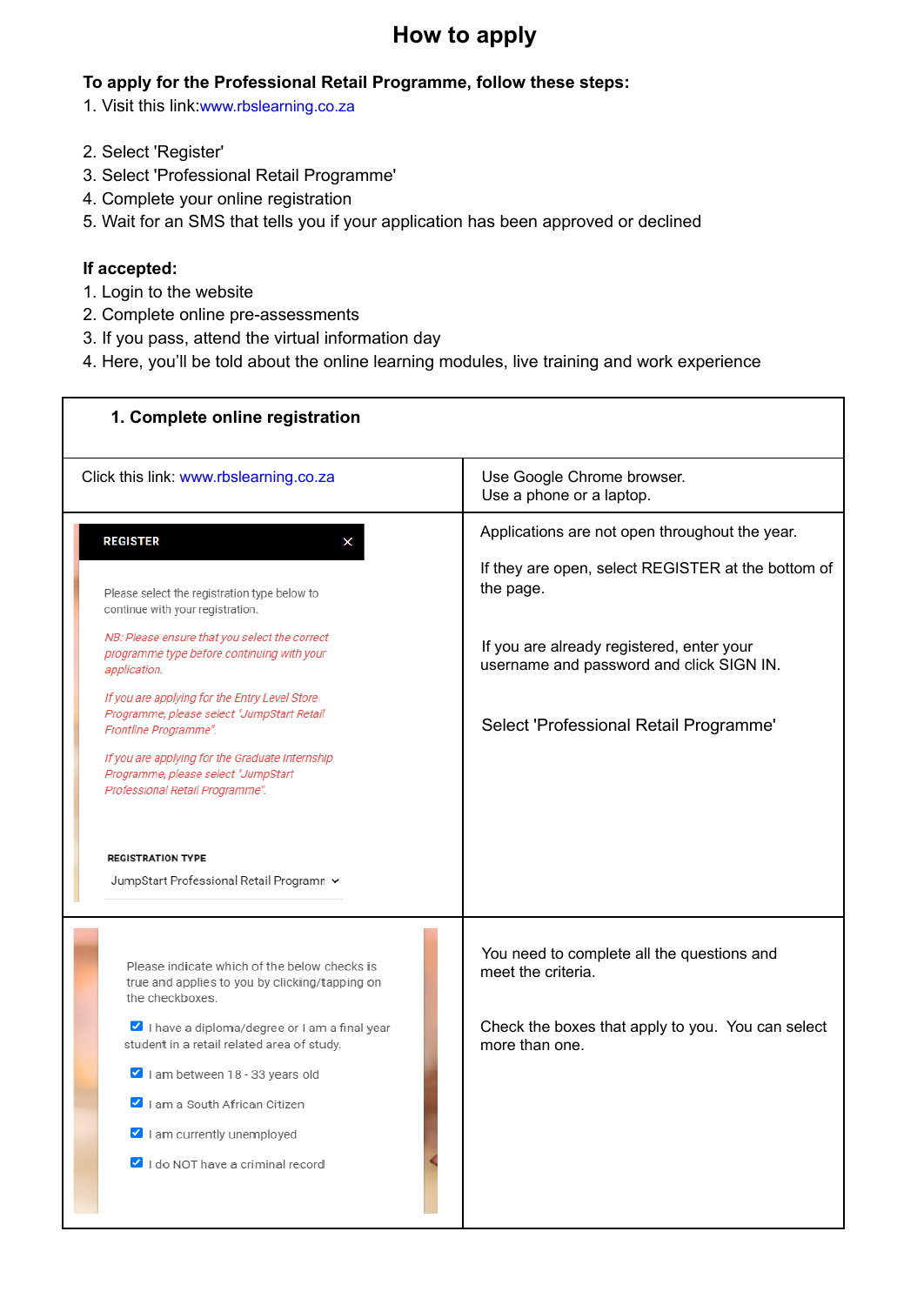## **How to apply**

## **To apply for the Professional Retail Programme, follow these steps:**

- 1. Visit this link:www.rbslearning.co.za
- 2. Select 'Register'
- 3. Select 'Professional Retail Programme'
- 4. Complete your online registration
- 5. Wait for an SMS that tells you if your application has been approved or declined

## **If accepted:**

- 1. Login to the website
- 2. Complete online pre-assessments
- 3. If you pass, attend the virtual information day
- 4. Here, you'll be told about the online learning modules, live training and work experience

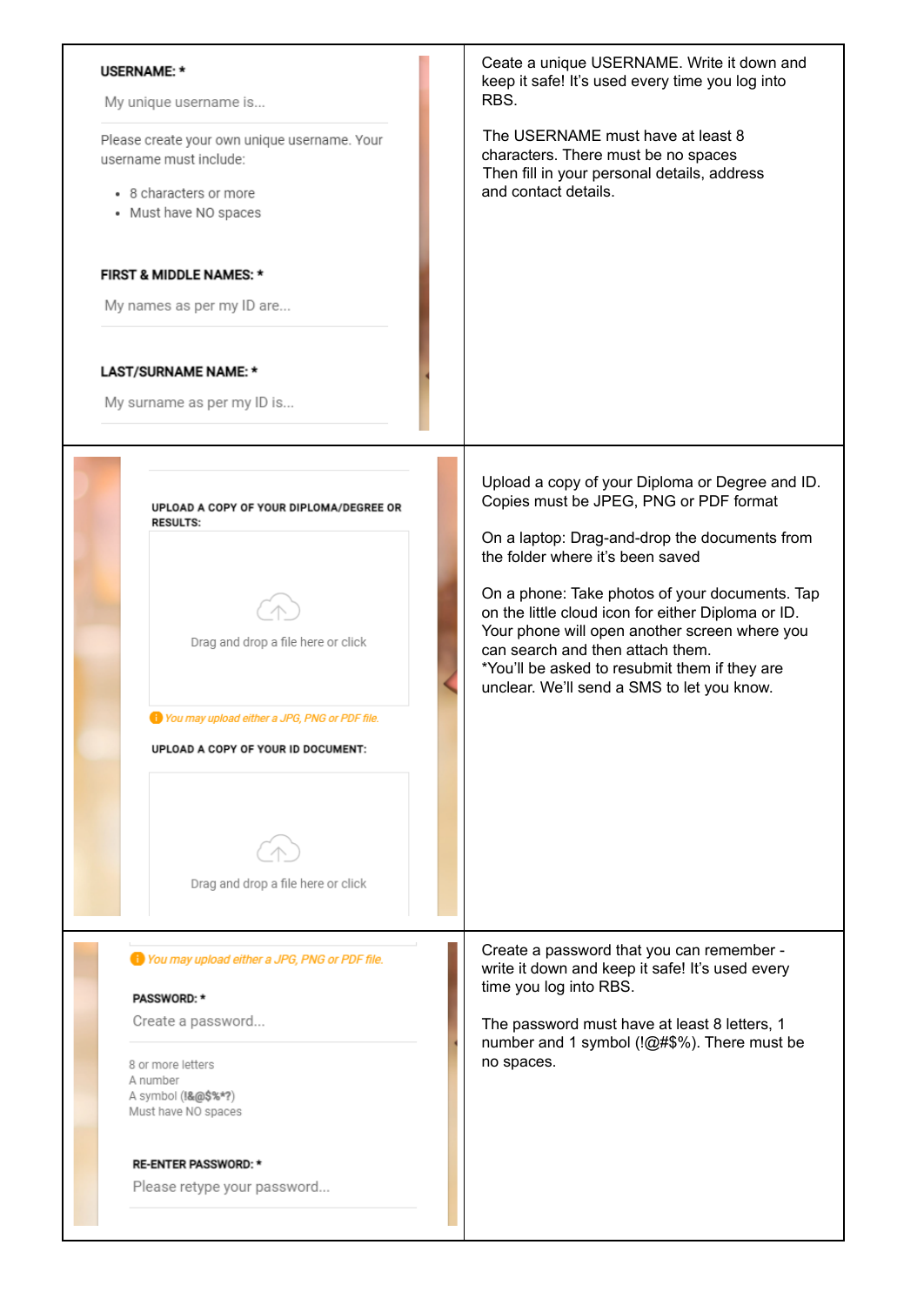| <b>USERNAME: *</b><br>My unique username is                                                                               | Ceate a unique USERNAME. Write it down and<br>keep it safe! It's used every time you log into<br>RBS.                                                                                                                                                                                    |
|---------------------------------------------------------------------------------------------------------------------------|------------------------------------------------------------------------------------------------------------------------------------------------------------------------------------------------------------------------------------------------------------------------------------------|
| Please create your own unique username. Your<br>username must include:<br>• 8 characters or more<br>• Must have NO spaces | The USERNAME must have at least 8<br>characters. There must be no spaces<br>Then fill in your personal details, address<br>and contact details.                                                                                                                                          |
| <b>FIRST &amp; MIDDLE NAMES: *</b><br>My names as per my ID are                                                           |                                                                                                                                                                                                                                                                                          |
| LAST/SURNAME NAME: *<br>My surname as per my ID is                                                                        |                                                                                                                                                                                                                                                                                          |
| UPLOAD A COPY OF YOUR DIPLOMA/DEGREE OR<br><b>RESULTS:</b>                                                                | Upload a copy of your Diploma or Degree and ID.<br>Copies must be JPEG, PNG or PDF format<br>On a laptop: Drag-and-drop the documents from<br>the folder where it's been saved                                                                                                           |
| Drag and drop a file here or click                                                                                        | On a phone: Take photos of your documents. Tap<br>on the little cloud icon for either Diploma or ID.<br>Your phone will open another screen where you<br>can search and then attach them.<br>*You'll be asked to resubmit them if they are<br>unclear. We'll send a SMS to let you know. |
| To You may upload either a JPG, PNG or PDF file.<br>UPLOAD A COPY OF YOUR ID DOCUMENT:                                    |                                                                                                                                                                                                                                                                                          |
| Drag and drop a file here or click                                                                                        |                                                                                                                                                                                                                                                                                          |
| You may upload either a JPG, PNG or PDF file.<br><b>PASSWORD: *</b>                                                       | Create a password that you can remember -<br>write it down and keep it safe! It's used every<br>time you log into RBS.                                                                                                                                                                   |
| Create a password<br>8 or more letters<br>A number<br>A symbol (!&@\$%*?)<br>Must have NO spaces                          | The password must have at least 8 letters, 1<br>number and 1 symbol (!@#\$%). There must be<br>no spaces.                                                                                                                                                                                |
| <b>RE-ENTER PASSWORD: *</b><br>Please retype your password                                                                |                                                                                                                                                                                                                                                                                          |